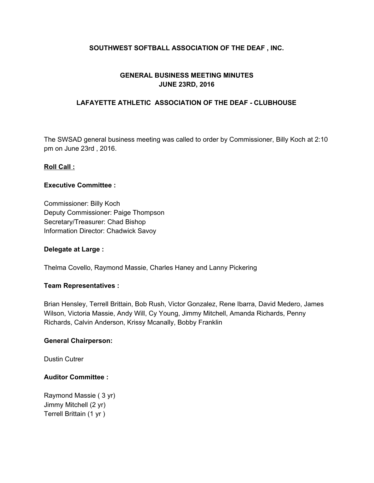# **SOUTHWEST SOFTBALL ASSOCIATION OF THE DEAF , INC.**

# **GENERAL BUSINESS MEETING MINUTES JUNE 23RD, 2016**

## **LAFAYETTE ATHLETIC ASSOCIATION OF THE DEAF - CLUBHOUSE**

The SWSAD general business meeting was called to order by Commissioner, Billy Koch at 2:10 pm on June 23rd , 2016.

#### **Roll Call :**

#### **Executive Committee :**

Commissioner: Billy Koch Deputy Commissioner: Paige Thompson Secretary/Treasurer: Chad Bishop Information Director: Chadwick Savoy

#### **Delegate at Large :**

Thelma Covello, Raymond Massie, Charles Haney and Lanny Pickering

#### **Team Representatives :**

Brian Hensley, Terrell Brittain, Bob Rush, Victor Gonzalez, Rene Ibarra, David Medero, James Wilson, Victoria Massie, Andy Will, Cy Young, Jimmy Mitchell, Amanda Richards, Penny Richards, Calvin Anderson, Krissy Mcanally, Bobby Franklin

#### **General Chairperson:**

Dustin Cutrer

### **Auditor Committee :**

Raymond Massie ( 3 yr) Jimmy Mitchell (2 yr) Terrell Brittain (1 yr )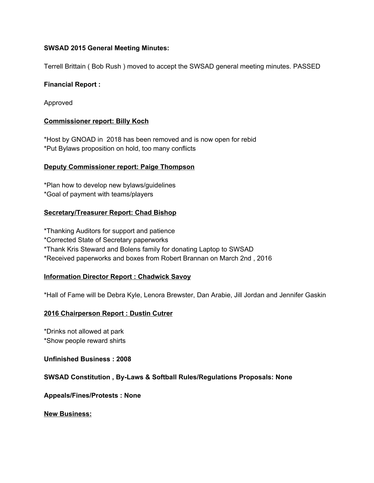## **SWSAD 2015 General Meeting Minutes:**

Terrell Brittain ( Bob Rush ) moved to accept the SWSAD general meeting minutes. PASSED

## **Financial Report :**

Approved

## **Commissioner report: Billy Koch**

\*Host by GNOAD in 2018 has been removed and is now open for rebid \*Put Bylaws proposition on hold, too many conflicts

## **Deputy Commissioner report: Paige Thompson**

\*Plan how to develop new bylaws/guidelines \*Goal of payment with teams/players

# **Secretary/Treasurer Report: Chad Bishop**

\*Thanking Auditors for support and patience

\*Corrected State of Secretary paperworks

\*Thank Kris Steward and Bolens family for donating Laptop to SWSAD

\*Received paperworks and boxes from Robert Brannan on March 2nd , 2016

### **Information Director Report : Chadwick Savoy**

\*Hall of Fame will be Debra Kyle, Lenora Brewster, Dan Arabie, Jill Jordan and Jennifer Gaskin

# **2016 Chairperson Report : Dustin Cutrer**

\*Drinks not allowed at park \*Show people reward shirts

**Unfinished Business : 2008**

### **SWSAD Constitution , By-Laws & Softball Rules/Regulations Proposals: None**

**Appeals/Fines/Protests : None**

**New Business:**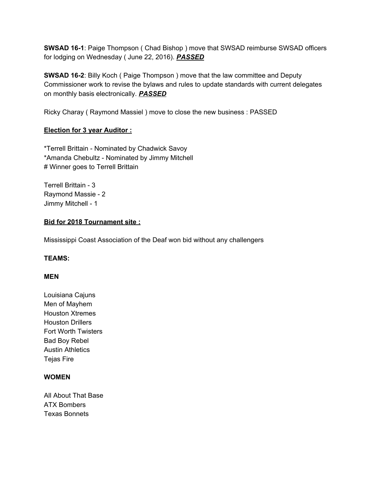**SWSAD 16-1**: Paige Thompson ( Chad Bishop ) move that SWSAD reimburse SWSAD officers for lodging on Wednesday ( June 22, 2016). *PASSED*

**SWSAD 16-2**: Billy Koch ( Paige Thompson ) move that the law committee and Deputy Commissioner work to revise the bylaws and rules to update standards with current delegates on monthly basis electronically. *PASSED*

Ricky Charay ( Raymond Massiel ) move to close the new business : PASSED

# **Election for 3 year Auditor :**

\*Terrell Brittain - Nominated by Chadwick Savoy \*Amanda Chebultz - Nominated by Jimmy Mitchell # Winner goes to Terrell Brittain

Terrell Brittain - 3 Raymond Massie - 2 Jimmy Mitchell - 1

## **Bid for 2018 Tournament site :**

Mississippi Coast Association of the Deaf won bid without any challengers

# **TEAMS:**

### **MEN**

Louisiana Cajuns Men of Mayhem Houston Xtremes Houston Drillers Fort Worth Twisters Bad Boy Rebel Austin Athletics Tejas Fire

### **WOMEN**

All About That Base ATX Bombers Texas Bonnets